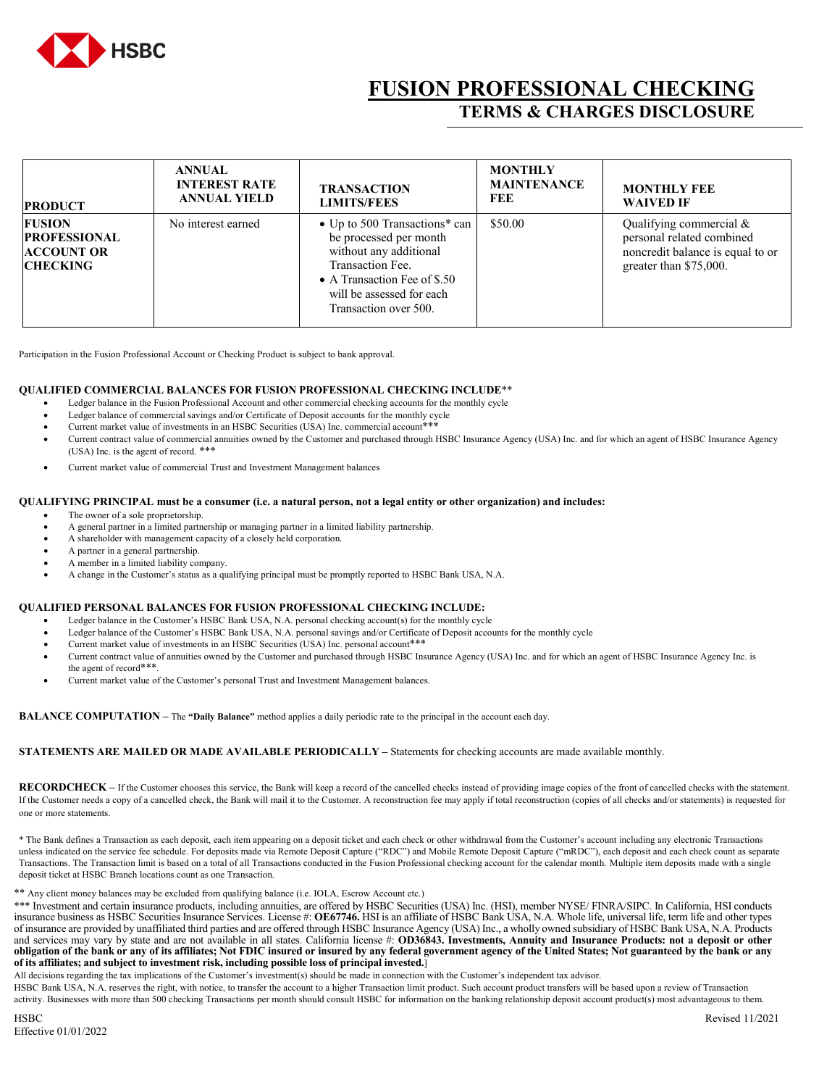

# **FUSION PROFESSIONAL CHECKING TERMS & CHARGES DISCLOSURE**

| <b>PRODUCT</b>                                                               | <b>ANNUAL</b><br><b>INTEREST RATE</b><br><b>ANNUAL YIELD</b> | <b>TRANSACTION</b><br><b>LIMITS/FEES</b>                                                                                                                                                    | <b>MONTHLY</b><br><b>MAINTENANCE</b><br>FEE | <b>MONTHLY FEE</b><br><b>WAIVED IF</b>                                                                             |
|------------------------------------------------------------------------------|--------------------------------------------------------------|---------------------------------------------------------------------------------------------------------------------------------------------------------------------------------------------|---------------------------------------------|--------------------------------------------------------------------------------------------------------------------|
| <b>FUSION</b><br><b>PROFESSIONAL</b><br><b>ACCOUNT OR</b><br><b>CHECKING</b> | No interest earned                                           | • Up to 500 Transactions* can<br>be processed per month<br>without any additional<br>Transaction Fee.<br>• A Transaction Fee of \$.50<br>will be assessed for each<br>Transaction over 500. | \$50.00                                     | Qualifying commercial &<br>personal related combined<br>noncredit balance is equal to or<br>greater than \$75,000. |

Participation in the Fusion Professional Account or Checking Product is subject to bank approval.

### **QUALIFIED COMMERCIAL BALANCES FOR FUSION PROFESSIONAL CHECKING INCLUDE**\*\*

- Ledger balance in the Fusion Professional Account and other commercial checking accounts for the monthly cycle
- Ledger balance of commercial savings and/or Certificate of Deposit accounts for the monthly cycle
- Current market value of investments in an HSBC Securities (USA) Inc. commercial account\*\*\*
- Current contract value of commercial annuities owned by the Customer and purchased through HSBC Insurance Agency (USA) Inc. and for which an agent of HSBC Insurance Agency (USA) Inc. is the agent of record. \*\*\*
- Current market value of commercial Trust and Investment Management balances

#### **QUALIFYING PRINCIPAL must be a consumer (i.e. a natural person, not a legal entity or other organization) and includes:**

- The owner of a sole proprietorship.
- A general partner in a limited partnership or managing partner in a limited liability partnership.
- A shareholder with management capacity of a closely held corporation.
- A partner in a general partnership.
- A member in a limited liability company.
- A change in the Customer's status as a qualifying principal must be promptly reported to HSBC Bank USA, N.A.

#### **QUALIFIED PERSONAL BALANCES FOR FUSION PROFESSIONAL CHECKING INCLUDE:**

- Ledger balance in the Customer's HSBC Bank USA, N.A. personal checking account(s) for the monthly cycle
- Ledger balance of the Customer's HSBC Bank USA, N.A. personal savings and/or Certificate of Deposit accounts for the monthly cycle
- Current market value of investments in an HSBC Securities (USA) Inc. personal account\*\*\*
- Current contract value of annuities owned by the Customer and purchased through HSBC Insurance Agency (USA) Inc. and for which an agent of HSBC Insurance Agency Inc. is the agent of record\*\*\*
- Current market value of the Customer's personal Trust and Investment Management balances.

**BALANCE COMPUTATION –** The **"Daily Balance"** method applies a daily periodic rate to the principal in the account each day.

## **STATEMENTS ARE MAILED OR MADE AVAILABLE PERIODICALLY –** Statements for checking accounts are made available monthly.

**RECORDCHECK –** If the Customer chooses this service, the Bank will keep a record of the cancelled checks instead of providing image copies of the front of cancelled checks with the statement. If the Customer needs a copy of a cancelled check, the Bank will mail it to the Customer. A reconstruction fee may apply if total reconstruction (copies of all checks and/or statements) is requested for one or more statements.

\* The Bank defines a Transaction as each deposit, each item appearing on a deposit ticket and each check or other withdrawal from the Customer's account including any electronic Transactions unless indicated on the service fee schedule. For deposits made via Remote Deposit Capture ("RDC") and Mobile Remote Deposit Capture ("mRDC"), each deposit and each check count as separate Transactions. The Transaction limit is based on a total of all Transactions conducted in the Fusion Professional checking account for the calendar month. Multiple item deposits made with a single deposit ticket at HSBC Branch locations count as one Transaction.

\*\* Any client money balances may be excluded from qualifying balance (i.e. IOLA, Escrow Account etc.)

\*\*\* Investment and certain insurance products, including annuities, are offered by HSBC Securities (USA) Inc. (HSI), member NYSE/ FINRA/SIPC. In California, HSI conducts insurance business as HSBC Securities Insurance Services. License #: **OE67746.** HSI is an affiliate of HSBC Bank USA, N.A. Whole life, universal life, term life and other types of insurance are provided by unaffiliated third parties and are offered through HSBC Insurance Agency (USA) Inc., a wholly owned subsidiary of HSBC Bank USA, N.A. Products and services may vary by state and are not available in all states. California license #: **OD36843. Investments, Annuity and Insurance Products: not a deposit or other obligation of the bank or any of its affiliates; Not FDIC insured or insured by any federal government agency of the United States; Not guaranteed by the bank or any of its affiliates; and subject to investment risk, including possible loss of principal invested.**]

All decisions regarding the tax implications of the Customer's investment(s) should be made in connection with the Customer's independent tax advisor.

HSBC Bank USA, N.A. reserves the right, with notice, to transfer the account to a higher Transaction limit product. Such account product transfers will be based upon a review of Transaction activity. Businesses with more than 500 checking Transactions per month should consult HSBC for information on the banking relationship deposit account product(s) most advantageous to them.